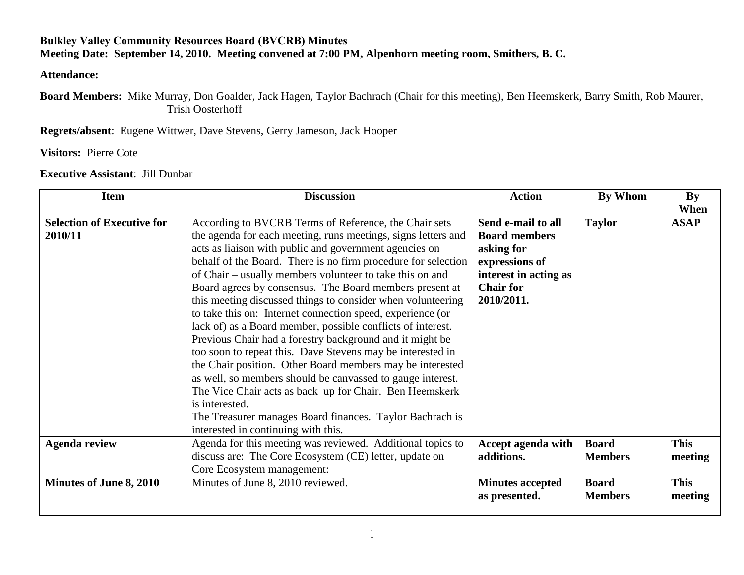## **Bulkley Valley Community Resources Board (BVCRB) Minutes Meeting Date: September 14, 2010. Meeting convened at 7:00 PM, Alpenhorn meeting room, Smithers, B. C.**

## **Attendance:**

**Board Members:** Mike Murray, Don Goalder, Jack Hagen, Taylor Bachrach (Chair for this meeting), Ben Heemskerk, Barry Smith, Rob Maurer, Trish Oosterhoff

**Regrets/absent**: Eugene Wittwer, Dave Stevens, Gerry Jameson, Jack Hooper

**Visitors:** Pierre Cote

## **Executive Assistant**: Jill Dunbar

| <b>Item</b>                                  | <b>Discussion</b>                                                                                                                                                                                                                                                                                                                                                                                                                                                                                                                                                                                                                                                                                                                                                                                                                                                                                                                                                  | <b>Action</b>                                                                                                                         | By Whom                        | By                     |
|----------------------------------------------|--------------------------------------------------------------------------------------------------------------------------------------------------------------------------------------------------------------------------------------------------------------------------------------------------------------------------------------------------------------------------------------------------------------------------------------------------------------------------------------------------------------------------------------------------------------------------------------------------------------------------------------------------------------------------------------------------------------------------------------------------------------------------------------------------------------------------------------------------------------------------------------------------------------------------------------------------------------------|---------------------------------------------------------------------------------------------------------------------------------------|--------------------------------|------------------------|
| <b>Selection of Executive for</b><br>2010/11 | According to BVCRB Terms of Reference, the Chair sets<br>the agenda for each meeting, runs meetings, signs letters and<br>acts as liaison with public and government agencies on<br>behalf of the Board. There is no firm procedure for selection<br>of Chair – usually members volunteer to take this on and<br>Board agrees by consensus. The Board members present at<br>this meeting discussed things to consider when volunteering<br>to take this on: Internet connection speed, experience (or<br>lack of) as a Board member, possible conflicts of interest.<br>Previous Chair had a forestry background and it might be<br>too soon to repeat this. Dave Stevens may be interested in<br>the Chair position. Other Board members may be interested<br>as well, so members should be canvassed to gauge interest.<br>The Vice Chair acts as back–up for Chair. Ben Heemskerk<br>is interested.<br>The Treasurer manages Board finances. Taylor Bachrach is | Send e-mail to all<br><b>Board members</b><br>asking for<br>expressions of<br>interest in acting as<br><b>Chair for</b><br>2010/2011. | <b>Taylor</b>                  | When<br><b>ASAP</b>    |
|                                              | interested in continuing with this.                                                                                                                                                                                                                                                                                                                                                                                                                                                                                                                                                                                                                                                                                                                                                                                                                                                                                                                                |                                                                                                                                       |                                |                        |
| <b>Agenda review</b>                         | Agenda for this meeting was reviewed. Additional topics to<br>discuss are: The Core Ecosystem (CE) letter, update on<br>Core Ecosystem management:                                                                                                                                                                                                                                                                                                                                                                                                                                                                                                                                                                                                                                                                                                                                                                                                                 | Accept agenda with<br>additions.                                                                                                      | <b>Board</b><br><b>Members</b> | <b>This</b><br>meeting |
| Minutes of June 8, 2010                      | Minutes of June 8, 2010 reviewed.                                                                                                                                                                                                                                                                                                                                                                                                                                                                                                                                                                                                                                                                                                                                                                                                                                                                                                                                  | <b>Minutes accepted</b><br>as presented.                                                                                              | <b>Board</b><br><b>Members</b> | <b>This</b><br>meeting |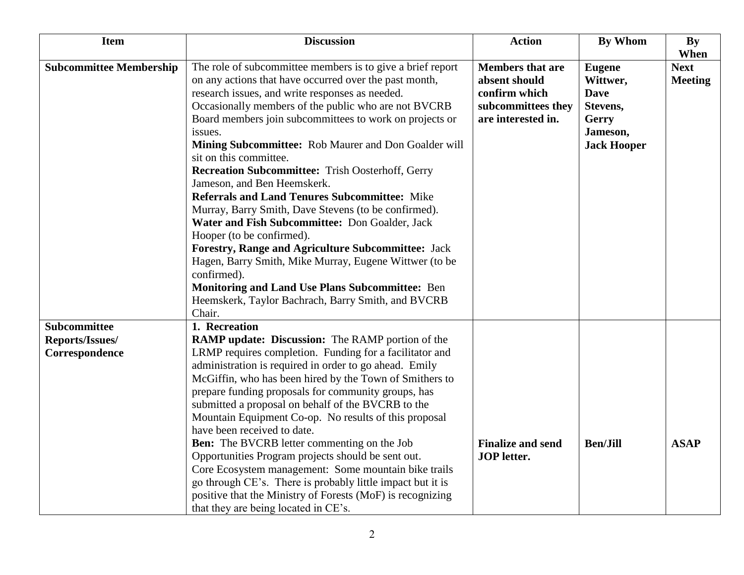| <b>Item</b>                                              | <b>Discussion</b>                                                                                                                                                                                                                                                                                                                                                                                                                                                                                                                                                                                                                                                                                                                                                                                                                                                                                                                         | <b>Action</b>                                                                                         | <b>By Whom</b>                                                                                  | By                                    |
|----------------------------------------------------------|-------------------------------------------------------------------------------------------------------------------------------------------------------------------------------------------------------------------------------------------------------------------------------------------------------------------------------------------------------------------------------------------------------------------------------------------------------------------------------------------------------------------------------------------------------------------------------------------------------------------------------------------------------------------------------------------------------------------------------------------------------------------------------------------------------------------------------------------------------------------------------------------------------------------------------------------|-------------------------------------------------------------------------------------------------------|-------------------------------------------------------------------------------------------------|---------------------------------------|
| <b>Subcommittee Membership</b>                           | The role of subcommittee members is to give a brief report<br>on any actions that have occurred over the past month,<br>research issues, and write responses as needed.<br>Occasionally members of the public who are not BVCRB<br>Board members join subcommittees to work on projects or<br>issues.<br>Mining Subcommittee: Rob Maurer and Don Goalder will<br>sit on this committee.<br><b>Recreation Subcommittee: Trish Oosterhoff, Gerry</b><br>Jameson, and Ben Heemskerk.<br><b>Referrals and Land Tenures Subcommittee: Mike</b><br>Murray, Barry Smith, Dave Stevens (to be confirmed).<br>Water and Fish Subcommittee: Don Goalder, Jack<br>Hooper (to be confirmed).<br><b>Forestry, Range and Agriculture Subcommittee: Jack</b><br>Hagen, Barry Smith, Mike Murray, Eugene Wittwer (to be<br>confirmed).<br>Monitoring and Land Use Plans Subcommittee: Ben<br>Heemskerk, Taylor Bachrach, Barry Smith, and BVCRB<br>Chair. | <b>Members that are</b><br>absent should<br>confirm which<br>subcommittees they<br>are interested in. | <b>Eugene</b><br>Wittwer,<br><b>Dave</b><br>Stevens,<br>Gerry<br>Jameson,<br><b>Jack Hooper</b> | When<br><b>Next</b><br><b>Meeting</b> |
| <b>Subcommittee</b><br>Reports/Issues/<br>Correspondence | 1. Recreation<br><b>RAMP update: Discussion:</b> The RAMP portion of the<br>LRMP requires completion. Funding for a facilitator and<br>administration is required in order to go ahead. Emily<br>McGiffin, who has been hired by the Town of Smithers to<br>prepare funding proposals for community groups, has<br>submitted a proposal on behalf of the BVCRB to the<br>Mountain Equipment Co-op. No results of this proposal<br>have been received to date.<br>Ben: The BVCRB letter commenting on the Job<br>Opportunities Program projects should be sent out.<br>Core Ecosystem management: Some mountain bike trails<br>go through CE's. There is probably little impact but it is<br>positive that the Ministry of Forests (MoF) is recognizing<br>that they are being located in CE's.                                                                                                                                            | <b>Finalize and send</b><br><b>JOP</b> letter.                                                        | <b>Ben/Jill</b>                                                                                 | <b>ASAP</b>                           |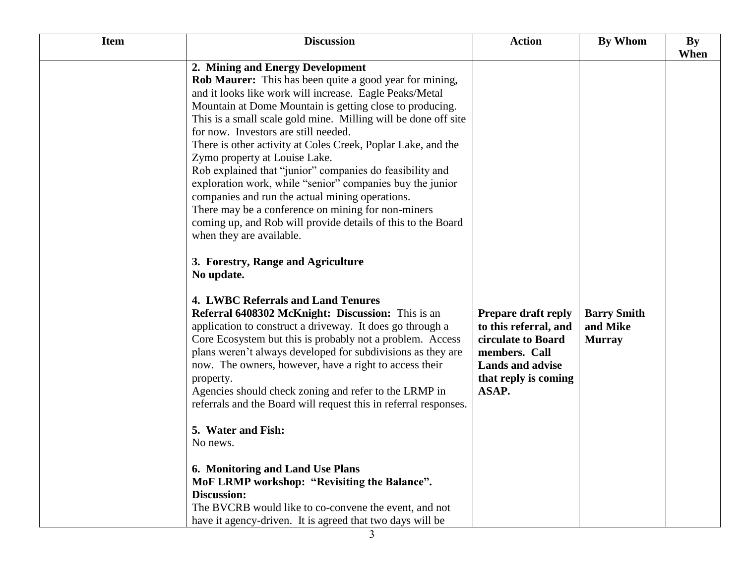| <b>Item</b>                                                                     | <b>Discussion</b>                                                                                                                                                                                                                                                                                                                                                                                                                                                                                                                                                                                                                                                                                                                                                                                                                                                                                                                                                                                                                                                                                                                                                                                                                                                                                                                                                                                                                                                                             | <b>Action</b>                                                                                                                                   | By Whom                                         | By   |
|---------------------------------------------------------------------------------|-----------------------------------------------------------------------------------------------------------------------------------------------------------------------------------------------------------------------------------------------------------------------------------------------------------------------------------------------------------------------------------------------------------------------------------------------------------------------------------------------------------------------------------------------------------------------------------------------------------------------------------------------------------------------------------------------------------------------------------------------------------------------------------------------------------------------------------------------------------------------------------------------------------------------------------------------------------------------------------------------------------------------------------------------------------------------------------------------------------------------------------------------------------------------------------------------------------------------------------------------------------------------------------------------------------------------------------------------------------------------------------------------------------------------------------------------------------------------------------------------|-------------------------------------------------------------------------------------------------------------------------------------------------|-------------------------------------------------|------|
| No update.<br>property.<br>5. Water and Fish:<br>No news.<br><b>Discussion:</b> | 2. Mining and Energy Development<br><b>Rob Maurer:</b> This has been quite a good year for mining,<br>and it looks like work will increase. Eagle Peaks/Metal<br>Mountain at Dome Mountain is getting close to producing.<br>This is a small scale gold mine. Milling will be done off site<br>for now. Investors are still needed.<br>There is other activity at Coles Creek, Poplar Lake, and the<br>Zymo property at Louise Lake.<br>Rob explained that "junior" companies do feasibility and<br>exploration work, while "senior" companies buy the junior<br>companies and run the actual mining operations.<br>There may be a conference on mining for non-miners<br>coming up, and Rob will provide details of this to the Board<br>when they are available.<br>3. Forestry, Range and Agriculture<br>4. LWBC Referrals and Land Tenures<br>Referral 6408302 McKnight: Discussion: This is an<br>application to construct a driveway. It does go through a<br>Core Ecosystem but this is probably not a problem. Access<br>plans weren't always developed for subdivisions as they are<br>now. The owners, however, have a right to access their<br>Agencies should check zoning and refer to the LRMP in<br>referrals and the Board will request this in referral responses.<br>6. Monitoring and Land Use Plans<br>MoF LRMP workshop: "Revisiting the Balance".<br>The BVCRB would like to co-convene the event, and not<br>have it agency-driven. It is agreed that two days will be | Prepare draft reply<br>to this referral, and<br>circulate to Board<br>members. Call<br><b>Lands and advise</b><br>that reply is coming<br>ASAP. | <b>Barry Smith</b><br>and Mike<br><b>Murray</b> | When |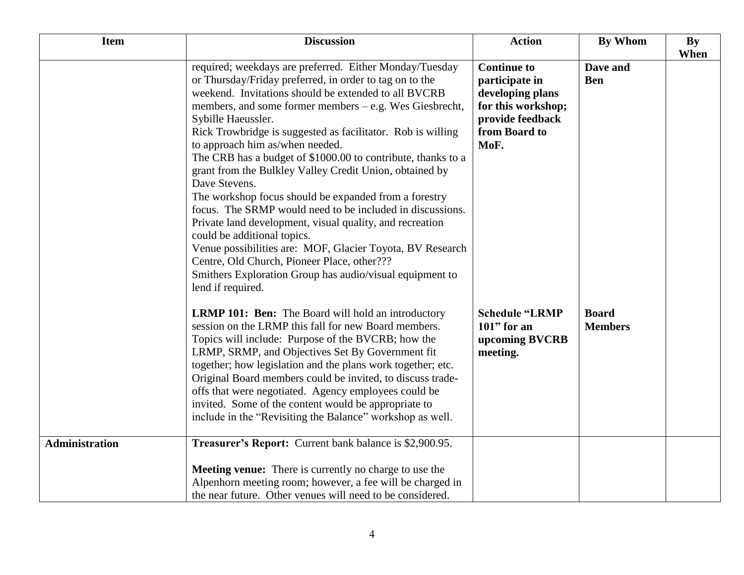| <b>Item</b>    | <b>Discussion</b>                                                                                                                                                                                                                                                                                                                                                                                                                                                                                                                                                                                                                                                                                                                                                                                                                                                                                                       | <b>Action</b>                                                                                                               | <b>By Whom</b>                 | By   |
|----------------|-------------------------------------------------------------------------------------------------------------------------------------------------------------------------------------------------------------------------------------------------------------------------------------------------------------------------------------------------------------------------------------------------------------------------------------------------------------------------------------------------------------------------------------------------------------------------------------------------------------------------------------------------------------------------------------------------------------------------------------------------------------------------------------------------------------------------------------------------------------------------------------------------------------------------|-----------------------------------------------------------------------------------------------------------------------------|--------------------------------|------|
|                | required; weekdays are preferred. Either Monday/Tuesday<br>or Thursday/Friday preferred, in order to tag on to the<br>weekend. Invitations should be extended to all BVCRB<br>members, and some former members – e.g. Wes Giesbrecht,<br>Sybille Haeussler.<br>Rick Trowbridge is suggested as facilitator. Rob is willing<br>to approach him as/when needed.<br>The CRB has a budget of \$1000.00 to contribute, thanks to a<br>grant from the Bulkley Valley Credit Union, obtained by<br>Dave Stevens.<br>The workshop focus should be expanded from a forestry<br>focus. The SRMP would need to be included in discussions.<br>Private land development, visual quality, and recreation<br>could be additional topics.<br>Venue possibilities are: MOF, Glacier Toyota, BV Research<br>Centre, Old Church, Pioneer Place, other???<br>Smithers Exploration Group has audio/visual equipment to<br>lend if required. | <b>Continue to</b><br>participate in<br>developing plans<br>for this workshop;<br>provide feedback<br>from Board to<br>MoF. | Dave and<br><b>Ben</b>         | When |
|                | <b>LRMP 101: Ben:</b> The Board will hold an introductory<br>session on the LRMP this fall for new Board members.<br>Topics will include: Purpose of the BVCRB; how the<br>LRMP, SRMP, and Objectives Set By Government fit<br>together; how legislation and the plans work together; etc.<br>Original Board members could be invited, to discuss trade-<br>offs that were negotiated. Agency employees could be<br>invited. Some of the content would be appropriate to<br>include in the "Revisiting the Balance" workshop as well.                                                                                                                                                                                                                                                                                                                                                                                   | <b>Schedule "LRMP</b><br>$101$ " for an<br>upcoming BVCRB<br>meeting.                                                       | <b>Board</b><br><b>Members</b> |      |
| Administration | Treasurer's Report: Current bank balance is \$2,900.95.                                                                                                                                                                                                                                                                                                                                                                                                                                                                                                                                                                                                                                                                                                                                                                                                                                                                 |                                                                                                                             |                                |      |
|                | Meeting venue: There is currently no charge to use the<br>Alpenhorn meeting room; however, a fee will be charged in<br>the near future. Other venues will need to be considered.                                                                                                                                                                                                                                                                                                                                                                                                                                                                                                                                                                                                                                                                                                                                        |                                                                                                                             |                                |      |